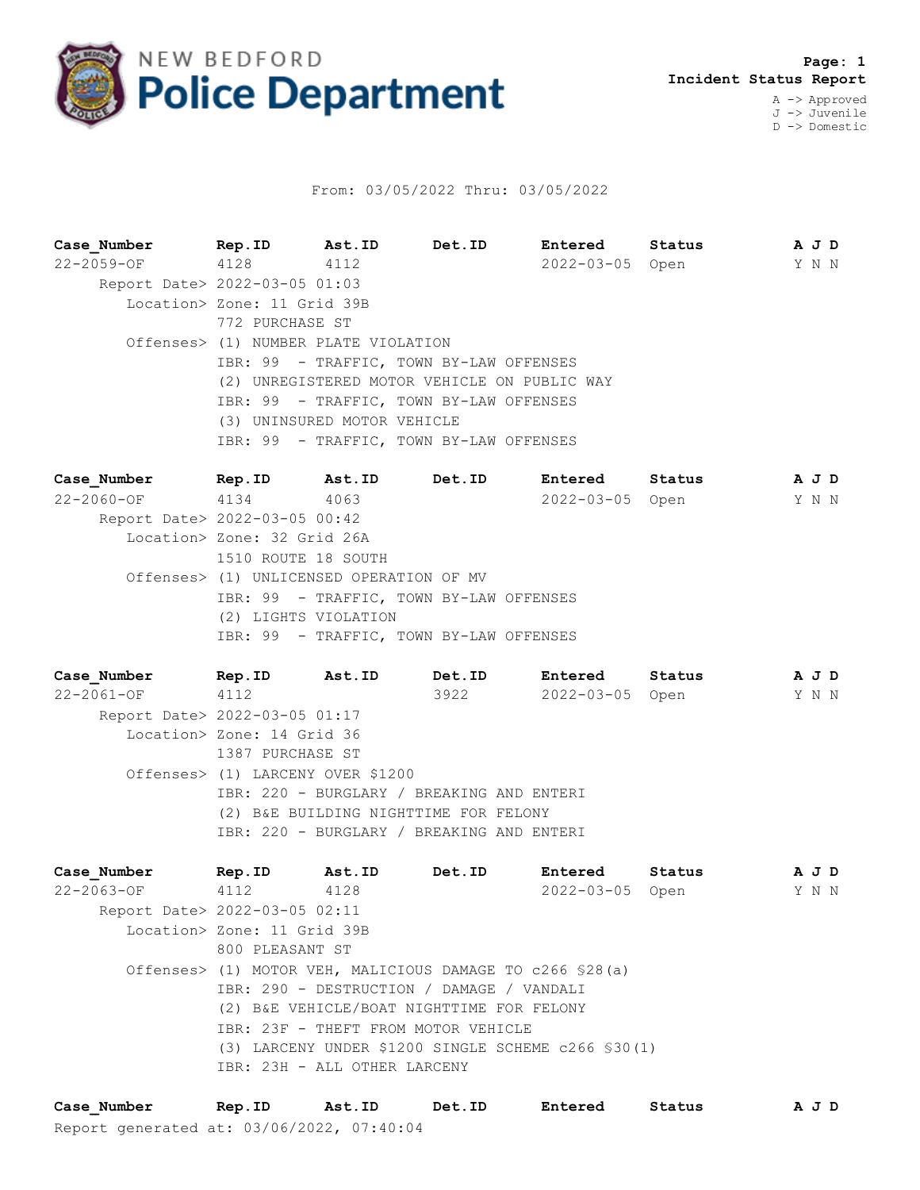

## From: 03/05/2022 Thru: 03/05/2022

**Case\_Number Rep.ID Ast.ID Det.ID Entered Status A J D** 22-2059-OF 4128 4112 2022-03-05 Open Y N N Report Date> 2022-03-05 01:03 Location> Zone: 11 Grid 39B 772 PURCHASE ST Offenses> (1) NUMBER PLATE VIOLATION IBR: 99 - TRAFFIC, TOWN BY-LAW OFFENSES (2) UNREGISTERED MOTOR VEHICLE ON PUBLIC WAY IBR: 99 - TRAFFIC, TOWN BY-LAW OFFENSES (3) UNINSURED MOTOR VEHICLE IBR: 99 - TRAFFIC, TOWN BY-LAW OFFENSES

**Case\_Number Rep.ID Ast.ID Det.ID Entered Status A J D** 22-2060-OF 4134 4063 2022-03-05 Open Y N N Report Date> 2022-03-05 00:42 Location> Zone: 32 Grid 26A 1510 ROUTE 18 SOUTH Offenses> (1) UNLICENSED OPERATION OF MV IBR: 99 - TRAFFIC, TOWN BY-LAW OFFENSES (2) LIGHTS VIOLATION IBR: 99 - TRAFFIC, TOWN BY-LAW OFFENSES

**Case\_Number Rep.ID Ast.ID Det.ID Entered Status A J D** 22-2061-OF 4112 3922 2022-03-05 Open Y N N Report Date> 2022-03-05 01:17 Location> Zone: 14 Grid 36 1387 PURCHASE ST Offenses> (1) LARCENY OVER \$1200 IBR: 220 - BURGLARY / BREAKING AND ENTERI (2) B&E BUILDING NIGHTTIME FOR FELONY IBR: 220 - BURGLARY / BREAKING AND ENTERI

**Case\_Number Rep.ID Ast.ID Det.ID Entered Status A J D** 22-2063-OF 4112 4128 2022-03-05 Open Y N N Report Date> 2022-03-05 02:11 Location> Zone: 11 Grid 39B 800 PLEASANT ST Offenses> (1) MOTOR VEH, MALICIOUS DAMAGE TO c266 §28(a) IBR: 290 - DESTRUCTION / DAMAGE / VANDALI (2) B&E VEHICLE/BOAT NIGHTTIME FOR FELONY IBR: 23F - THEFT FROM MOTOR VEHICLE (3) LARCENY UNDER \$1200 SINGLE SCHEME c266 §30(1) IBR: 23H - ALL OTHER LARCENY

Report generated at: 03/06/2022, 07:40:04 **Case\_Number Rep.ID Ast.ID Det.ID Entered Status A J D**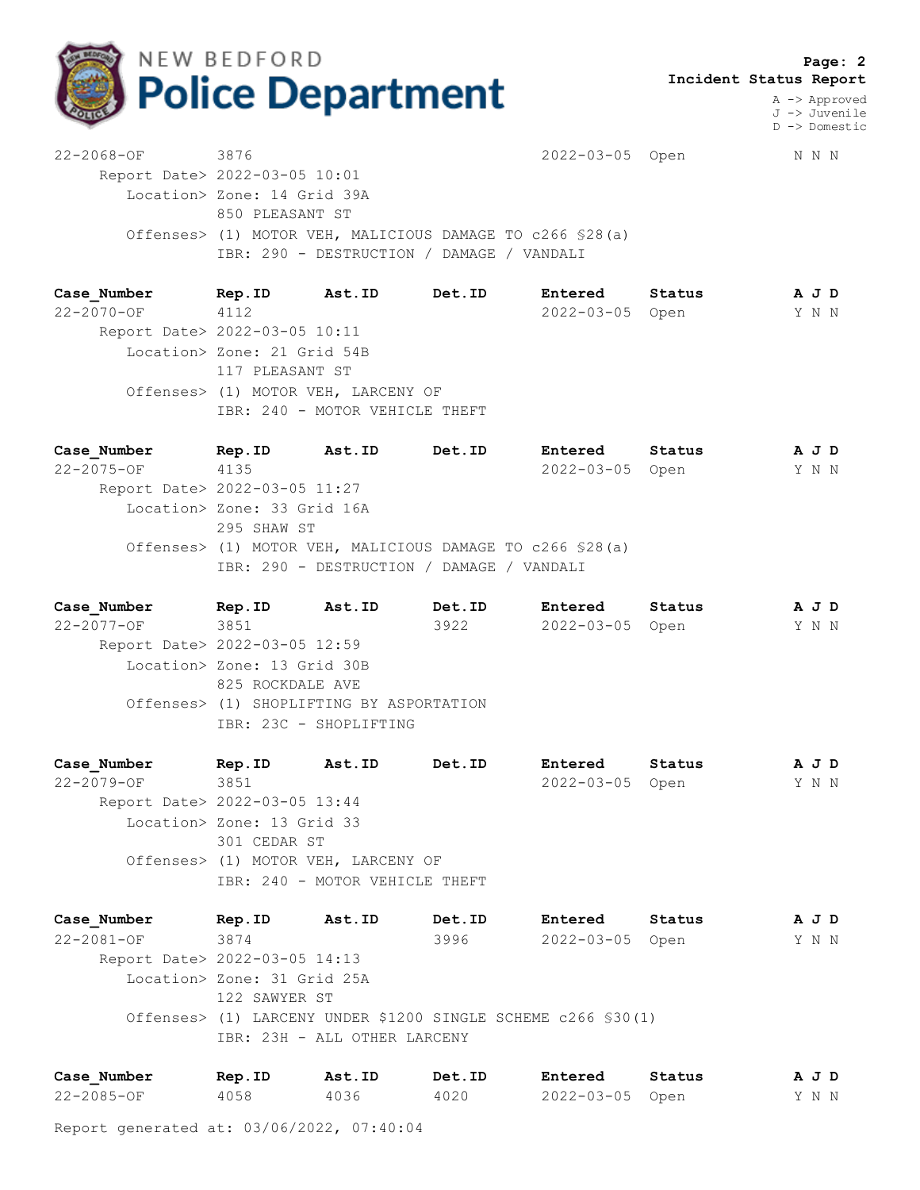

 **Page: 2 Incident Status Report**

> A -> Approved J -> Juvenile D -> Domestic

22-2068-OF 3876 2022-03-05 Open N N N Report Date> 2022-03-05 10:01 Location> Zone: 14 Grid 39A 850 PLEASANT ST Offenses> (1) MOTOR VEH, MALICIOUS DAMAGE TO c266 §28(a) IBR: 290 - DESTRUCTION / DAMAGE / VANDALI

**Case\_Number Rep.ID Ast.ID Det.ID Entered Status A J D** 22-2070-OF 4112 2022-03-05 Open Y N N Report Date> 2022-03-05 10:11 Location> Zone: 21 Grid 54B 117 PLEASANT ST Offenses> (1) MOTOR VEH, LARCENY OF IBR: 240 - MOTOR VEHICLE THEFT

**Case\_Number Rep.ID Ast.ID Det.ID Entered Status A J D** 22-2075-OF 4135 2022-03-05 Open Y N N Report Date> 2022-03-05 11:27 Location> Zone: 33 Grid 16A 295 SHAW ST Offenses> (1) MOTOR VEH, MALICIOUS DAMAGE TO c266 §28(a) IBR: 290 - DESTRUCTION / DAMAGE / VANDALI

**Case\_Number Rep.ID Ast.ID Det.ID Entered Status A J D** 22-2077-OF 3851 3922 2022-03-05 Open Y N N Report Date> 2022-03-05 12:59 Location> Zone: 13 Grid 30B 825 ROCKDALE AVE Offenses> (1) SHOPLIFTING BY ASPORTATION IBR: 23C - SHOPLIFTING

**Case\_Number Rep.ID Ast.ID Det.ID Entered Status A J D** 22-2079-OF 3851 2022-03-05 Open Y N N Report Date> 2022-03-05 13:44 Location> Zone: 13 Grid 33 301 CEDAR ST Offenses> (1) MOTOR VEH, LARCENY OF IBR: 240 - MOTOR VEHICLE THEFT

**Case\_Number Rep.ID Ast.ID Det.ID Entered Status A J D** 22-2081-OF 3874 3996 2022-03-05 Open Y N N Report Date> 2022-03-05 14:13 Location> Zone: 31 Grid 25A 122 SAWYER ST Offenses> (1) LARCENY UNDER \$1200 SINGLE SCHEME c266 §30(1) IBR: 23H - ALL OTHER LARCENY

| Case Number      | Rep.ID | Ast.ID | Det.ID | Entered         | Status | AJD   |  |  |
|------------------|--------|--------|--------|-----------------|--------|-------|--|--|
| $22 - 2085 - OF$ | 4058   | 4036   | 4020   | 2022-03-05 Open |        | Y N N |  |  |